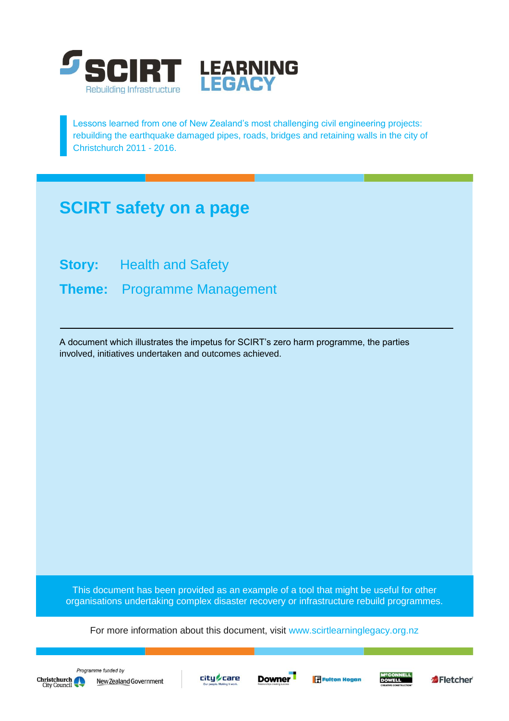

Lessons learned from one of New Zealand's most challenging civil engineering projects: rebuilding the earthquake damaged pipes, roads, bridges and retaining walls in the city of Christchurch 2011 - 2016.

## **SCIRT safety on a page**

**Story:** Health and Safety

**Theme:** Programme Management

A document which illustrates the impetus for SCIRT's zero harm programme, the parties involved, initiatives undertaken and outcomes achieved.

This document has been provided as an example of a tool that might be useful for other organisations undertaking complex disaster recovery or infrastructure rebuild programmes.

For more information about this document, visit [www.scirtlearninglegacy.org.nz](http://www.scirtlearninglegacy.org.nz/)







**Fulton Hogan** 



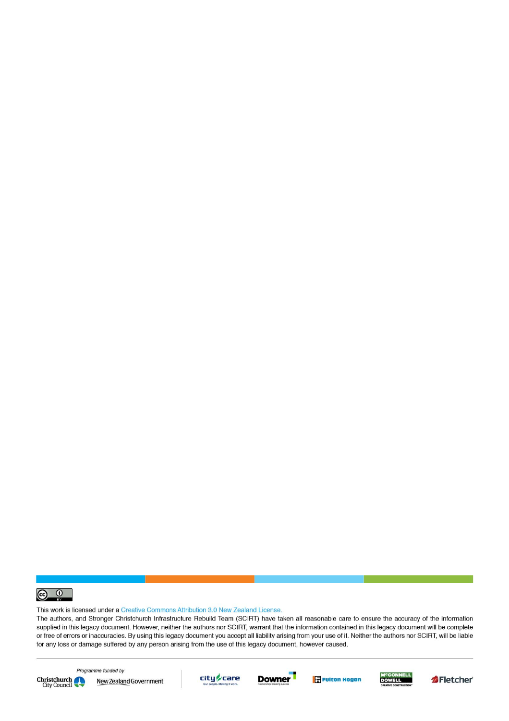

This work is licensed under a Creative Commons Attribution 3.0 New Zealand License.

The authors, and Stronger Christchurch Infrastructure Rebuild Team (SCIRT) have taken all reasonable care to ensure the accuracy of the information supplied in this legacy document. However, neither the authors nor SCIRT, warrant that the information contained in this legacy document will be complete or free of errors or inaccuracies. By using this legacy document you accept all liability arising from your use of it. Neither the authors nor SCIRT, will be liable for any loss or damage suffered by any person arising from the use of this legacy document, however caused.



Programme funded by New Zealand Government